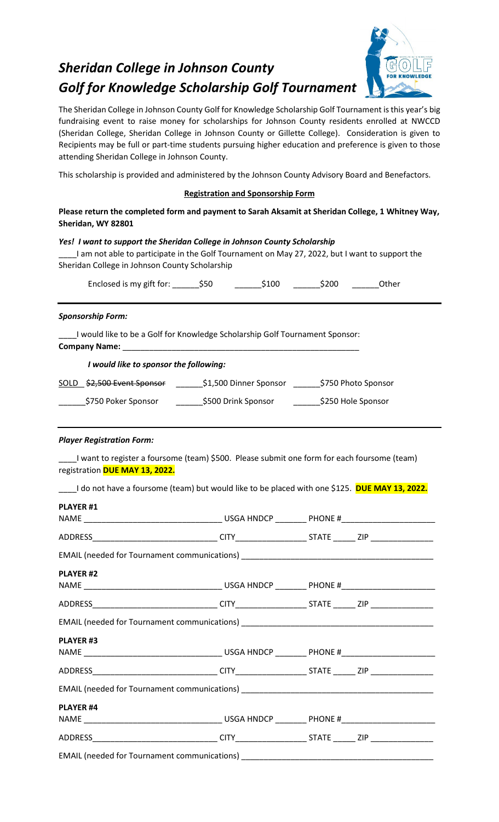# *Sheridan College in Johnson County Golf for Knowledge Scholarship Golf Tournament*



The Sheridan College in Johnson County Golf for Knowledge Scholarship Golf Tournament is this year's big fundraising event to raise money for scholarships for Johnson County residents enrolled at NWCCD (Sheridan College, Sheridan College in Johnson County or Gillette College). Consideration is given to Recipients may be full or part-time students pursuing higher education and preference is given to those attending Sheridan College in Johnson County.

This scholarship is provided and administered by the Johnson County Advisory Board and Benefactors.

## **Registration and Sponsorship Form**

**Please return the completed form and payment to Sarah Aksamit at Sheridan College, 1 Whitney Way, Sheridan, WY 82801**

## *Yes! I want to support the Sheridan College in Johnson County Scholarship*

\_\_\_\_I am not able to participate in the Golf Tournament on May 27, 2022, but I want to support the Sheridan College in Johnson County Scholarship

| Enclosed is my gift for: | \$50 | \$100 | \$200 | Other |
|--------------------------|------|-------|-------|-------|
|--------------------------|------|-------|-------|-------|

#### *Sponsorship Form:*

\_\_\_\_I would like to be a Golf for Knowledge Scholarship Golf Tournament Sponsor: **Company Name:** \_\_\_\_\_\_\_\_\_\_\_\_\_\_\_\_\_\_\_\_\_\_\_\_\_\_\_\_\_\_\_\_\_\_\_\_\_\_\_\_\_\_\_\_\_\_\_\_\_\_\_\_\_

#### *I would like to sponsor the following:*

| SOLD \$2,500 Event Sponsor | \$1,500 Dinner Sponsor | \$750 Photo Sponsor |
|----------------------------|------------------------|---------------------|
|                            |                        |                     |

| \$750 Poker Sponsor | \$500 Drink Sponsor | \$250 Hole Sponsor |
|---------------------|---------------------|--------------------|
|                     |                     |                    |

#### *Player Registration Form:*

\_\_\_\_I want to register a foursome (team) \$500. Please submit one form for each foursome (team) registration **DUE MAY 13, 2022.**

\_\_\_\_I do not have a foursome (team) but would like to be placed with one \$125. **DUE MAY 13, 2022.**

| <b>PLAYER #1</b> |  |  |  |  |  |  |
|------------------|--|--|--|--|--|--|
|                  |  |  |  |  |  |  |
|                  |  |  |  |  |  |  |
|                  |  |  |  |  |  |  |
| <b>PLAYER #2</b> |  |  |  |  |  |  |
|                  |  |  |  |  |  |  |
|                  |  |  |  |  |  |  |
|                  |  |  |  |  |  |  |
| <b>PLAYER#3</b>  |  |  |  |  |  |  |
|                  |  |  |  |  |  |  |
|                  |  |  |  |  |  |  |
|                  |  |  |  |  |  |  |
| <b>PLAYER #4</b> |  |  |  |  |  |  |
|                  |  |  |  |  |  |  |
|                  |  |  |  |  |  |  |
|                  |  |  |  |  |  |  |